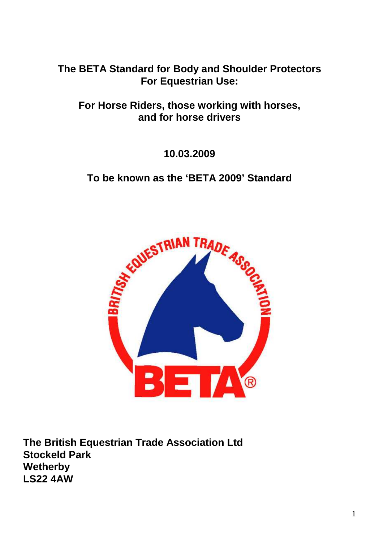**The BETA Standard for Body and Shoulder Protectors For Equestrian Use:** 

**For Horse Riders, those working with horses, and for horse drivers** 

**10.03.2009** 

**To be known as the 'BETA 2009' Standard** 



**The British Equestrian Trade Association Ltd Stockeld Park Wetherby LS22 4AW**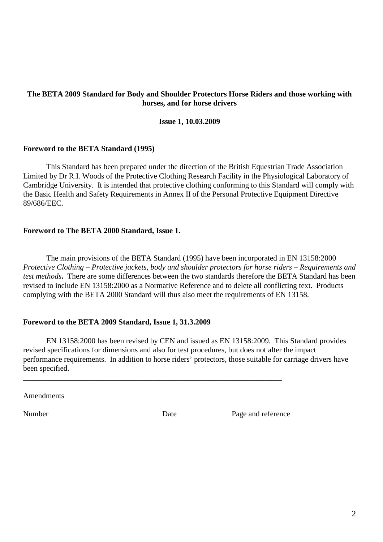### **The BETA 2009 Standard for Body and Shoulder Protectors Horse Riders and those working with horses, and for horse drivers**

#### **Issue 1, 10.03.2009**

#### **Foreword to the BETA Standard (1995)**

 This Standard has been prepared under the direction of the British Equestrian Trade Association Limited by Dr R.I. Woods of the Protective Clothing Research Facility in the Physiological Laboratory of Cambridge University. It is intended that protective clothing conforming to this Standard will comply with the Basic Health and Safety Requirements in Annex II of the Personal Protective Equipment Directive 89/686/EEC.

#### **Foreword to The BETA 2000 Standard, Issue 1.**

 The main provisions of the BETA Standard (1995) have been incorporated in EN 13158:2000 *Protective Clothing – Protective jackets, body and shoulder protectors for horse riders – Requirements and test methods***.** There are some differences between the two standards therefore the BETA Standard has been revised to include EN 13158:2000 as a Normative Reference and to delete all conflicting text. Products complying with the BETA 2000 Standard will thus also meet the requirements of EN 13158.

#### **Foreword to the BETA 2009 Standard, Issue 1, 31.3.2009**

 EN 13158:2000 has been revised by CEN and issued as EN 13158:2009. This Standard provides revised specifications for dimensions and also for test procedures, but does not alter the impact performance requirements. In addition to horse riders' protectors, those suitable for carriage drivers have been specified.

Amendments

**\_\_\_\_\_\_\_\_\_\_\_\_\_\_\_\_\_\_\_\_\_\_\_\_\_\_\_\_\_\_\_\_\_\_\_\_\_\_\_\_\_\_\_\_\_\_\_\_\_\_\_\_\_\_\_\_\_\_\_\_\_\_\_\_\_\_\_** 

Number Date Date Page and reference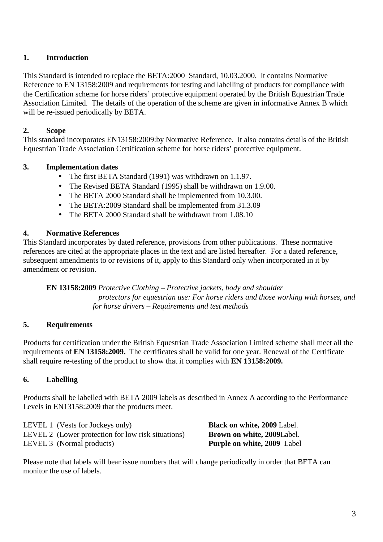## **1. Introduction**

This Standard is intended to replace the BETA:2000 Standard, 10.03.2000. It contains Normative Reference to EN 13158:2009 and requirements for testing and labelling of products for compliance with the Certification scheme for horse riders' protective equipment operated by the British Equestrian Trade Association Limited. The details of the operation of the scheme are given in informative Annex B which will be re-issued periodically by BETA.

### **2. Scope**

This standard incorporates EN13158:2009:by Normative Reference. It also contains details of the British Equestrian Trade Association Certification scheme for horse riders' protective equipment.

### **3. Implementation dates**

- The first BETA Standard (1991) was withdrawn on 1.1.97.
- The Revised BETA Standard (1995) shall be withdrawn on 1.9.00.
- The BETA 2000 Standard shall be implemented from 10.3.00.
- The BETA:2009 Standard shall be implemented from 31.3.09
- The BETA 2000 Standard shall be withdrawn from 1.08.10

#### **4. Normative References**

This Standard incorporates by dated reference, provisions from other publications. These normative references are cited at the appropriate places in the text and are listed hereafter. For a dated reference, subsequent amendments to or revisions of it, apply to this Standard only when incorporated in it by amendment or revision.

**EN 13158:2009** *Protective Clothing – Protective jackets, body and shoulder protectors for equestrian use: For horse riders and those working with horses, and for horse drivers – Requirements and test methods* 

#### **5. Requirements**

Products for certification under the British Equestrian Trade Association Limited scheme shall meet all the requirements of **EN 13158:2009.** The certificates shall be valid for one year. Renewal of the Certificate shall require re-testing of the product to show that it complies with **EN 13158:2009.**

### **6. Labelling**

Products shall be labelled with BETA 2009 labels as described in Annex A according to the Performance Levels in EN13158:2009 that the products meet.

LEVEL 1 (Vests for Jockeys only) **Black on white, 2009** Label. LEVEL 2 (Lower protection for low risk situations) **Brown on white, 2009**Label. LEVEL 3 (Normal products) **Purple on white, 2009** Label

Please note that labels will bear issue numbers that will change periodically in order that BETA can monitor the use of labels.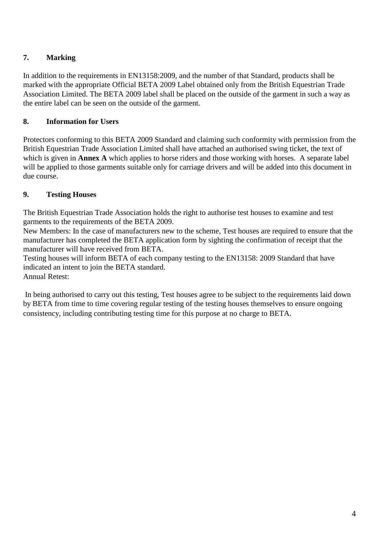# **7. Marking**

In addition to the requirements in EN13158:2009, and the number of that Standard, products shall be marked with the appropriate Official BETA 2009 Label obtained only from the British Equestrian Trade Association Limited. The BETA 2009 label shall be placed on the outside of the garment in such a way as the entire label can be seen on the outside of the garment.

## **8. Information for Users**

Protectors conforming to this BETA 2009 Standard and claiming such conformity with permission from the British Equestrian Trade Association Limited shall have attached an authorised swing ticket, the text of which is given in **Annex A** which applies to horse riders and those working with horses. A separate label will be applied to those garments suitable only for carriage drivers and will be added into this document in due course.

# **9. Testing Houses**

The British Equestrian Trade Association holds the right to authorise test houses to examine and test garments to the requirements of the BETA 2009.

New Members: In the case of manufacturers new to the scheme, Test houses are required to ensure that the manufacturer has completed the BETA application form by sighting the confirmation of receipt that the manufacturer will have received from BETA.

Testing houses will inform BETA of each company testing to the EN13158: 2009 Standard that have indicated an intent to join the BETA standard. Annual Retest:

 In being authorised to carry out this testing, Test houses agree to be subject to the requirements laid down by BETA from time to time covering regular testing of the testing houses themselves to ensure ongoing consistency, including contributing testing time for this purpose at no charge to BETA.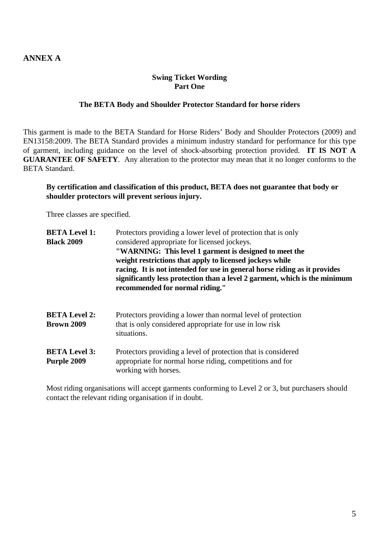### **ANNEX A**

#### **Swing Ticket Wording Part One**

#### **The BETA Body and Shoulder Protector Standard for horse riders**

This garment is made to the BETA Standard for Horse Riders' Body and Shoulder Protectors (2009) and EN13158:2009. The BETA Standard provides a minimum industry standard for performance for this type of garment, including guidance on the level of shock-absorbing protection provided. **IT IS NOT A GUARANTEE OF SAFETY**. Any alteration to the protector may mean that it no longer conforms to the BETA Standard.

#### **By certification and classification of this product, BETA does not guarantee that body or shoulder protectors will prevent serious injury.**

Three classes are specified.

| <b>BETA Level 1:</b><br><b>Black 2009</b> | Protectors providing a lower level of protection that is only<br>considered appropriate for licensed jockeys.<br>"WARNING: This level 1 garment is designed to meet the<br>weight restrictions that apply to licensed jockeys while<br>racing. It is not intended for use in general horse riding as it provides<br>significantly less protection than a level 2 garment, which is the minimum<br>recommended for normal riding." |
|-------------------------------------------|-----------------------------------------------------------------------------------------------------------------------------------------------------------------------------------------------------------------------------------------------------------------------------------------------------------------------------------------------------------------------------------------------------------------------------------|
| <b>BETA Level 2:</b><br><b>Brown 2009</b> | Protectors providing a lower than normal level of protection<br>that is only considered appropriate for use in low risk<br>situations.                                                                                                                                                                                                                                                                                            |
| <b>BETA Level 3:</b><br>Purple 2009       | Protectors providing a level of protection that is considered<br>appropriate for normal horse riding, competitions and for<br>working with horses.                                                                                                                                                                                                                                                                                |

Most riding organisations will accept garments conforming to Level 2 or 3, but purchasers should contact the relevant riding organisation if in doubt.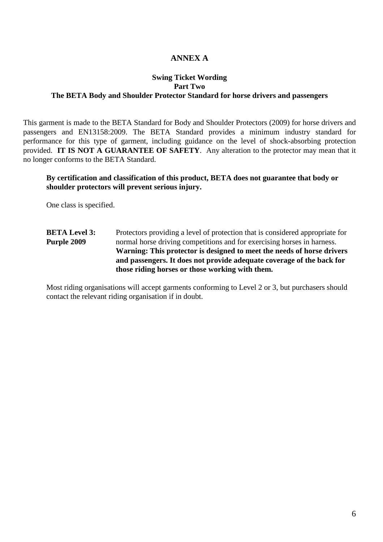### **ANNEX A**

#### **Swing Ticket Wording Part Two The BETA Body and Shoulder Protector Standard for horse drivers and passengers**

This garment is made to the BETA Standard for Body and Shoulder Protectors (2009) for horse drivers and passengers and EN13158:2009. The BETA Standard provides a minimum industry standard for performance for this type of garment, including guidance on the level of shock-absorbing protection provided. **IT IS NOT A GUARANTEE OF SAFETY**. Any alteration to the protector may mean that it no longer conforms to the BETA Standard.

#### **By certification and classification of this product, BETA does not guarantee that body or shoulder protectors will prevent serious injury.**

One class is specified.

**BETA Level 3:** Protectors providing a level of protection that is considered appropriate for **Purple 2009** normal horse driving competitions and for exercising horses in harness. **Warning: This protector is designed to meet the needs of horse drivers and passengers. It does not provide adequate coverage of the back for those riding horses or those working with them.** 

Most riding organisations will accept garments conforming to Level 2 or 3, but purchasers should contact the relevant riding organisation if in doubt.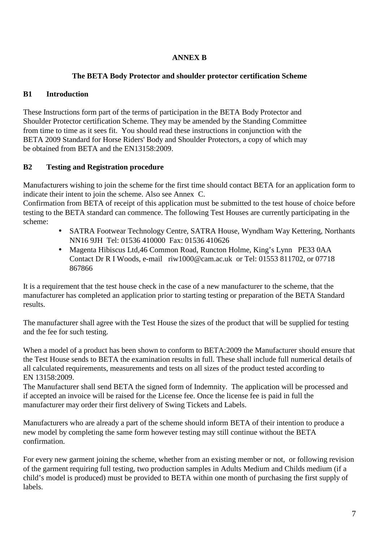### **ANNEX B**

### **The BETA Body Protector and shoulder protector certification Scheme**

# **B1 Introduction**

These Instructions form part of the terms of participation in the BETA Body Protector and Shoulder Protector certification Scheme. They may be amended by the Standing Committee from time to time as it sees fit. You should read these instructions in conjunction with the BETA 2009 Standard for Horse Riders' Body and Shoulder Protectors, a copy of which may be obtained from BETA and the EN13158:2009.

## **B2 Testing and Registration procedure**

Manufacturers wishing to join the scheme for the first time should contact BETA for an application form to indicate their intent to join the scheme. Also see Annex C.

Confirmation from BETA of receipt of this application must be submitted to the test house of choice before testing to the BETA standard can commence. The following Test Houses are currently participating in the scheme:

- SATRA Footwear Technology Centre, SATRA House, Wyndham Way Kettering, Northants NN16 9JH Tel: 01536 410000 Fax: 01536 410626
- Magenta Hibiscus Ltd,46 Common Road, Runcton Holme, King's Lynn PE33 0AA Contact Dr R I Woods, e-mail riw1000@cam.ac.uk or Tel: 01553 811702, or 07718 867866

It is a requirement that the test house check in the case of a new manufacturer to the scheme, that the manufacturer has completed an application prior to starting testing or preparation of the BETA Standard results.

The manufacturer shall agree with the Test House the sizes of the product that will be supplied for testing and the fee for such testing.

When a model of a product has been shown to conform to BETA:2009 the Manufacturer should ensure that the Test House sends to BETA the examination results in full. These shall include full numerical details of all calculated requirements, measurements and tests on all sizes of the product tested according to EN 13158:2009.

The Manufacturer shall send BETA the signed form of Indemnity. The application will be processed and if accepted an invoice will be raised for the License fee. Once the license fee is paid in full the manufacturer may order their first delivery of Swing Tickets and Labels.

Manufacturers who are already a part of the scheme should inform BETA of their intention to produce a new model by completing the same form however testing may still continue without the BETA confirmation.

For every new garment joining the scheme, whether from an existing member or not, or following revision of the garment requiring full testing, two production samples in Adults Medium and Childs medium (if a child's model is produced) must be provided to BETA within one month of purchasing the first supply of labels.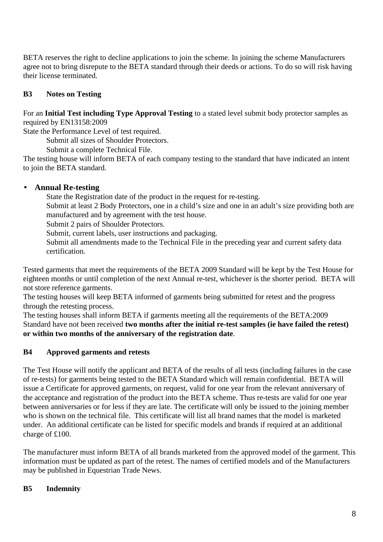BETA reserves the right to decline applications to join the scheme. In joining the scheme Manufacturers agree not to bring disrepute to the BETA standard through their deeds or actions. To do so will risk having their license terminated.

### **B3 Notes on Testing**

For an **Initial Test including Type Approval Testing** to a stated level submit body protector samples as required by EN13158:2009

State the Performance Level of test required.

Submit all sizes of Shoulder Protectors.

Submit a complete Technical File.

The testing house will inform BETA of each company testing to the standard that have indicated an intent to join the BETA standard.

### • **Annual Re-testing**

State the Registration date of the product in the request for re-testing.

 Submit at least 2 Body Protectors, one in a child's size and one in an adult's size providing both are manufactured and by agreement with the test house.

Submit 2 pairs of Shoulder Protectors.

Submit, current labels, user instructions and packaging.

 Submit all amendments made to the Technical File in the preceding year and current safety data certification.

Tested garments that meet the requirements of the BETA 2009 Standard will be kept by the Test House for eighteen months or until completion of the next Annual re-test, whichever is the shorter period. BETA will not store reference garments.

The testing houses will keep BETA informed of garments being submitted for retest and the progress through the retesting process.

The testing houses shall inform BETA if garments meeting all the requirements of the BETA:2009 Standard have not been received **two months after the initial re-test samples (ie have failed the retest) or within two months of the anniversary of the registration date**.

### **B4 Approved garments and retests**

The Test House will notify the applicant and BETA of the results of all tests (including failures in the case of re-tests) for garments being tested to the BETA Standard which will remain confidential. BETA will issue a Certificate for approved garments, on request, valid for one year from the relevant anniversary of the acceptance and registration of the product into the BETA scheme. Thus re-tests are valid for one year between anniversaries or for less if they are late. The certificate will only be issued to the joining member who is shown on the technical file. This certificate will list all brand names that the model is marketed under. An additional certificate can be listed for specific models and brands if required at an additional charge of £100.

The manufacturer must inform BETA of all brands marketed from the approved model of the garment. This information must be updated as part of the retest. The names of certified models and of the Manufacturers may be published in Equestrian Trade News.

### **B5 Indemnity**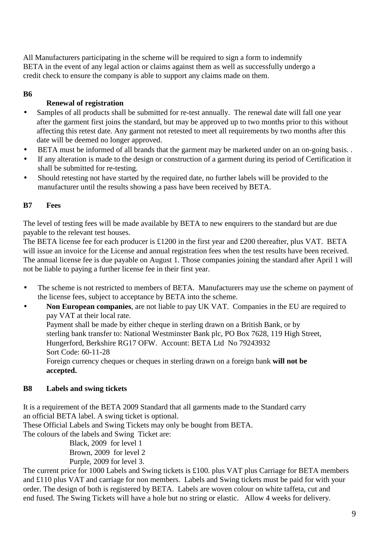All Manufacturers participating in the scheme will be required to sign a form to indemnify BETA in the event of any legal action or claims against them as well as successfully undergo a credit check to ensure the company is able to support any claims made on them.

### **B6**

### **Renewal of registration**

- Samples of all products shall be submitted for re-test annually. The renewal date will fall one year after the garment first joins the standard, but may be approved up to two months prior to this without affecting this retest date. Any garment not retested to meet all requirements by two months after this date will be deemed no longer approved.
- BETA must be informed of all brands that the garment may be marketed under on an on-going basis. .
- If any alteration is made to the design or construction of a garment during its period of Certification it shall be submitted for re-testing.
- Should retesting not have started by the required date, no further labels will be provided to the manufacturer until the results showing a pass have been received by BETA.

#### **B7 Fees**

The level of testing fees will be made available by BETA to new enquirers to the standard but are due payable to the relevant test houses.

The BETA license fee for each producer is £1200 in the first year and £200 thereafter, plus VAT. BETA will issue an invoice for the License and annual registration fees when the test results have been received. The annual license fee is due payable on August 1. Those companies joining the standard after April 1 will not be liable to paying a further license fee in their first year.

The scheme is not restricted to members of BETA. Manufacturers may use the scheme on payment of the license fees, subject to acceptance by BETA into the scheme.

• **Non European companies**, are not liable to pay UK VAT. Companies in the EU are required to pay VAT at their local rate. Payment shall be made by either cheque in sterling drawn on a British Bank, or by sterling bank transfer to: National Westminster Bank plc, PO Box 7628, 119 High Street, Hungerford, Berkshire RG17 OFW. Account: BETA Ltd No 79243932 Sort Code: 60-11-28 Foreign currency cheques or cheques in sterling drawn on a foreign bank **will not be accepted.**

#### **B8 Labels and swing tickets**

It is a requirement of the BETA 2009 Standard that all garments made to the Standard carry an official BETA label. A swing ticket is optional.

These Official Labels and Swing Tickets may only be bought from BETA.

The colours of the labels and Swing Ticket are:

 Black, 2009 for level 1 Brown, 2009 for level 2 Purple, 2009 for level 3.

The current price for 1000 Labels and Swing tickets is £100. plus VAT plus Carriage for BETA members and £110 plus VAT and carriage for non members. Labels and Swing tickets must be paid for with your order. The design of both is registered by BETA. Labels are woven colour on white taffeta, cut and end fused. The Swing Tickets will have a hole but no string or elastic. Allow 4 weeks for delivery.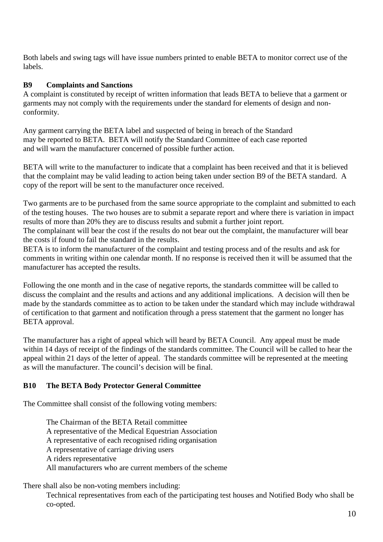Both labels and swing tags will have issue numbers printed to enable BETA to monitor correct use of the labels.

### **B9 Complaints and Sanctions**

A complaint is constituted by receipt of written information that leads BETA to believe that a garment or garments may not comply with the requirements under the standard for elements of design and nonconformity.

Any garment carrying the BETA label and suspected of being in breach of the Standard may be reported to BETA. BETA will notify the Standard Committee of each case reported and will warn the manufacturer concerned of possible further action.

BETA will write to the manufacturer to indicate that a complaint has been received and that it is believed that the complaint may be valid leading to action being taken under section B9 of the BETA standard. A copy of the report will be sent to the manufacturer once received.

Two garments are to be purchased from the same source appropriate to the complaint and submitted to each of the testing houses. The two houses are to submit a separate report and where there is variation in impact results of more than 20% they are to discuss results and submit a further joint report.

The complainant will bear the cost if the results do not bear out the complaint, the manufacturer will bear the costs if found to fail the standard in the results.

BETA is to inform the manufacturer of the complaint and testing process and of the results and ask for comments in writing within one calendar month. If no response is received then it will be assumed that the manufacturer has accepted the results.

Following the one month and in the case of negative reports, the standards committee will be called to discuss the complaint and the results and actions and any additional implications. A decision will then be made by the standards committee as to action to be taken under the standard which may include withdrawal of certification to that garment and notification through a press statement that the garment no longer has BETA approval.

The manufacturer has a right of appeal which will heard by BETA Council. Any appeal must be made within 14 days of receipt of the findings of the standards committee. The Council will be called to hear the appeal within 21 days of the letter of appeal. The standards committee will be represented at the meeting as will the manufacturer. The council's decision will be final.

### **B10 The BETA Body Protector General Committee**

The Committee shall consist of the following voting members:

 The Chairman of the BETA Retail committee A representative of the Medical Equestrian Association A representative of each recognised riding organisation A representative of carriage driving users A riders representative All manufacturers who are current members of the scheme

There shall also be non-voting members including:

Technical representatives from each of the participating test houses and Notified Body who shall be co-opted.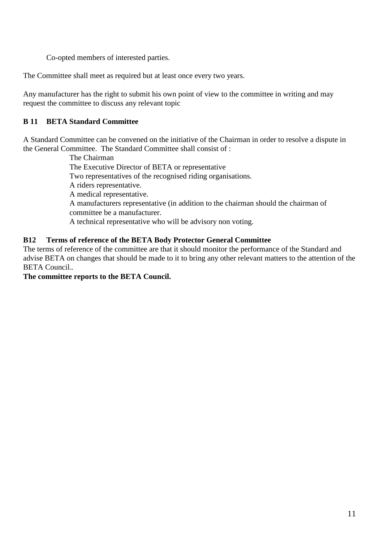Co-opted members of interested parties.

The Committee shall meet as required but at least once every two years.

Any manufacturer has the right to submit his own point of view to the committee in writing and may request the committee to discuss any relevant topic

#### **B 11 BETA Standard Committee**

A Standard Committee can be convened on the initiative of the Chairman in order to resolve a dispute in the General Committee. The Standard Committee shall consist of :

> The Chairman The Executive Director of BETA or representative Two representatives of the recognised riding organisations. A riders representative. A medical representative. A manufacturers representative (in addition to the chairman should the chairman of committee be a manufacturer. A technical representative who will be advisory non voting.

#### **B12 Terms of reference of the BETA Body Protector General Committee**

The terms of reference of the committee are that it should monitor the performance of the Standard and advise BETA on changes that should be made to it to bring any other relevant matters to the attention of the BETA Council.*.* 

#### **The committee reports to the BETA Council.**